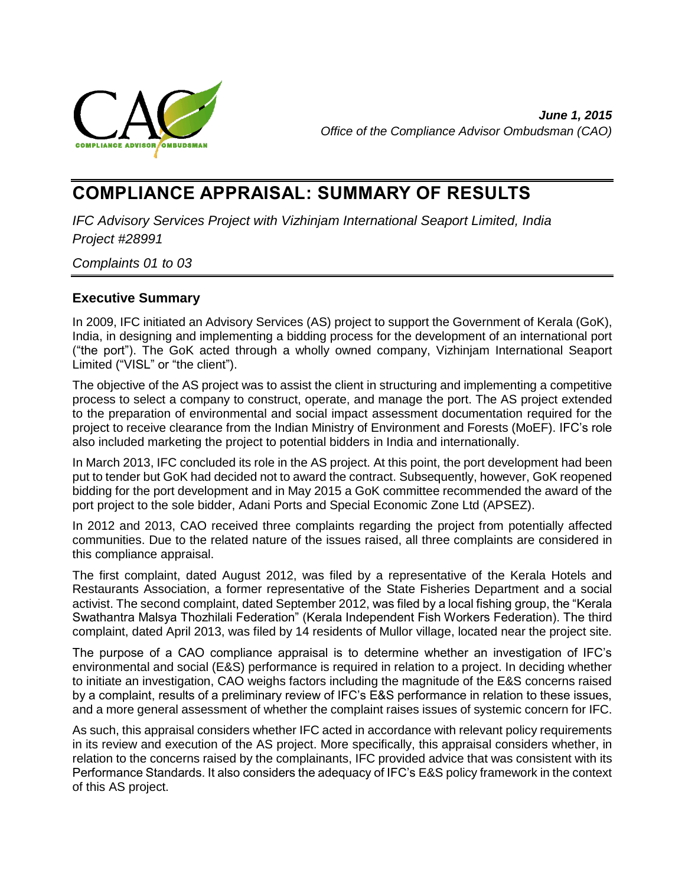

*June 1, 2015 Office of the Compliance Advisor Ombudsman (CAO)*

# **COMPLIANCE APPRAISAL: SUMMARY OF RESULTS**

*IFC Advisory Services Project with Vizhinjam International Seaport Limited, India Project #28991*

*Complaints 01 to 03*

# <span id="page-0-0"></span>**Executive Summary**

In 2009, IFC initiated an Advisory Services (AS) project to support the Government of Kerala (GoK), India, in designing and implementing a bidding process for the development of an international port ("the port"). The GoK acted through a wholly owned company, Vizhinjam International Seaport Limited ("VISL" or "the client").

The objective of the AS project was to assist the client in structuring and implementing a competitive process to select a company to construct, operate, and manage the port. The AS project extended to the preparation of environmental and social impact assessment documentation required for the project to receive clearance from the Indian Ministry of Environment and Forests (MoEF). IFC's role also included marketing the project to potential bidders in India and internationally.

In March 2013, IFC concluded its role in the AS project. At this point, the port development had been put to tender but GoK had decided not to award the contract. Subsequently, however, GoK reopened bidding for the port development and in May 2015 a GoK committee recommended the award of the port project to the sole bidder, Adani Ports and Special Economic Zone Ltd (APSEZ).

In 2012 and 2013, CAO received three complaints regarding the project from potentially affected communities. Due to the related nature of the issues raised, all three complaints are considered in this compliance appraisal.

The first complaint, dated August 2012, was filed by a representative of the Kerala Hotels and Restaurants Association, a former representative of the State Fisheries Department and a social activist. The second complaint, dated September 2012, was filed by a local fishing group, the "Kerala Swathantra Malsya Thozhilali Federation" (Kerala Independent Fish Workers Federation). The third complaint, dated April 2013, was filed by 14 residents of Mullor village, located near the project site.

The purpose of a CAO compliance appraisal is to determine whether an investigation of IFC's environmental and social (E&S) performance is required in relation to a project. In deciding whether to initiate an investigation, CAO weighs factors including the magnitude of the E&S concerns raised by a complaint, results of a preliminary review of IFC's E&S performance in relation to these issues, and a more general assessment of whether the complaint raises issues of systemic concern for IFC.

As such, this appraisal considers whether IFC acted in accordance with relevant policy requirements in its review and execution of the AS project. More specifically, this appraisal considers whether, in relation to the concerns raised by the complainants, IFC provided advice that was consistent with its Performance Standards. It also considers the adequacy of IFC's E&S policy framework in the context of this AS project.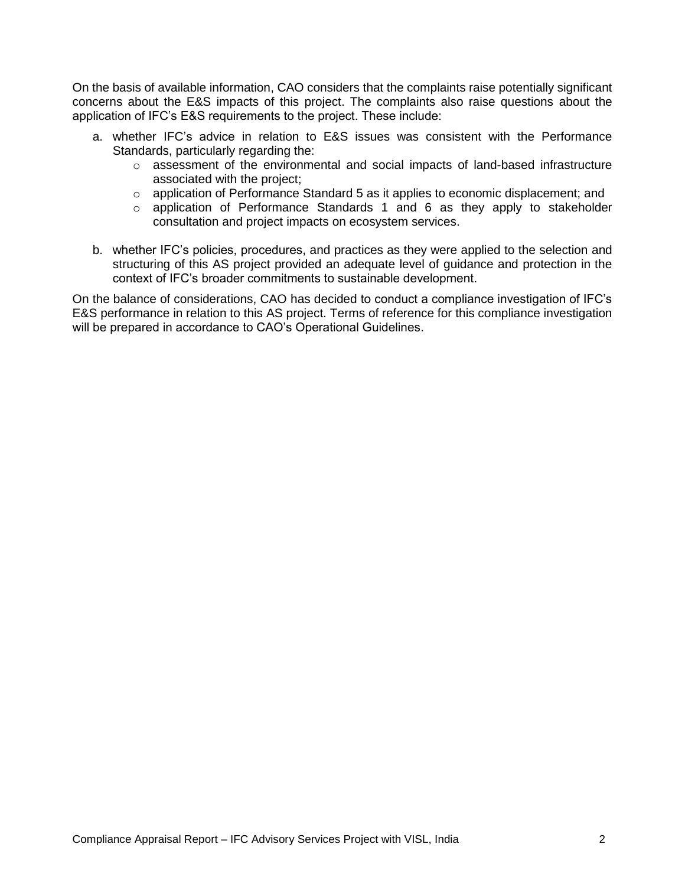On the basis of available information, CAO considers that the complaints raise potentially significant concerns about the E&S impacts of this project. The complaints also raise questions about the application of IFC's E&S requirements to the project. These include:

- a. whether IFC's advice in relation to E&S issues was consistent with the Performance Standards, particularly regarding the:
	- $\circ$  assessment of the environmental and social impacts of land-based infrastructure associated with the project;
	- o application of Performance Standard 5 as it applies to economic displacement; and
	- $\circ$  application of Performance Standards 1 and 6 as they apply to stakeholder consultation and project impacts on ecosystem services.
- b. whether IFC's policies, procedures, and practices as they were applied to the selection and structuring of this AS project provided an adequate level of guidance and protection in the context of IFC's broader commitments to sustainable development.

On the balance of considerations, CAO has decided to conduct a compliance investigation of IFC's E&S performance in relation to this AS project. Terms of reference for this compliance investigation will be prepared in accordance to CAO's Operational Guidelines.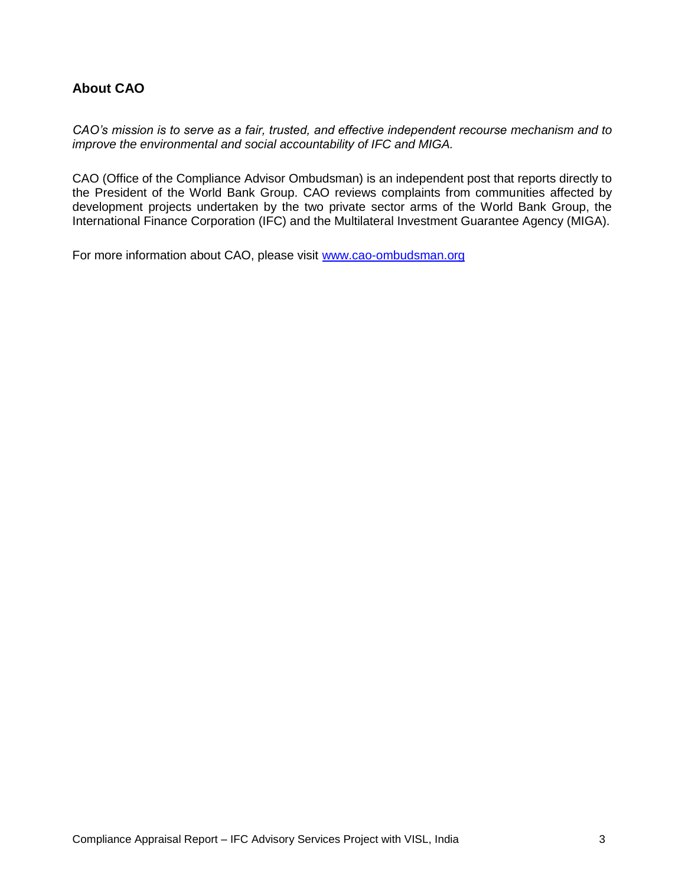# **About CAO**

*CAO's mission is to serve as a fair, trusted, and effective independent recourse mechanism and to improve the environmental and social accountability of IFC and MIGA.*

CAO (Office of the Compliance Advisor Ombudsman) is an independent post that reports directly to the President of the World Bank Group. CAO reviews complaints from communities affected by development projects undertaken by the two private sector arms of the World Bank Group, the International Finance Corporation (IFC) and the Multilateral Investment Guarantee Agency (MIGA).

For more information about CAO, please visit [www.cao-ombudsman.org](http://www.cao-ombudsman.org/)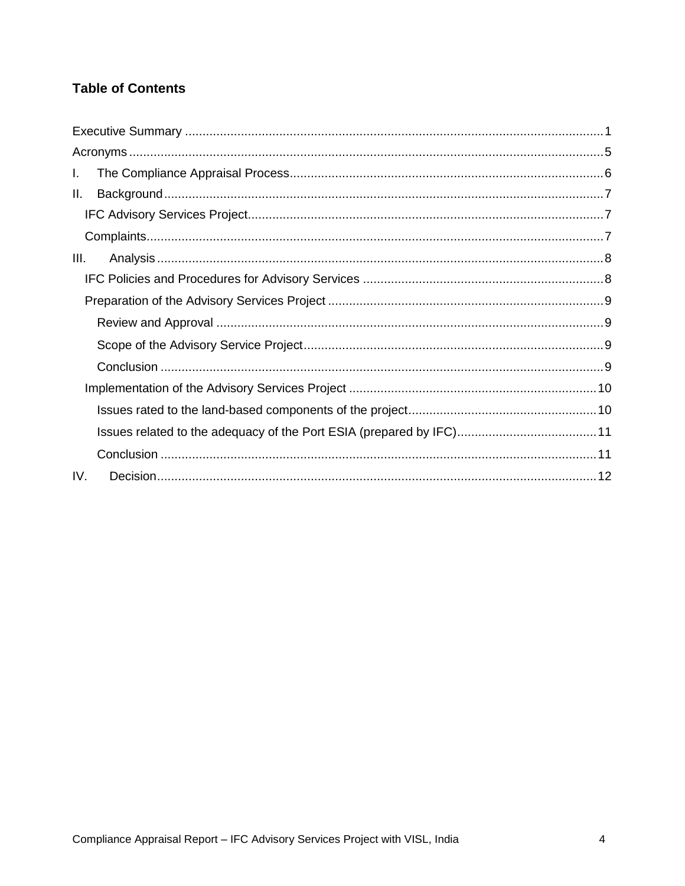# **Table of Contents**

| L.   |  |
|------|--|
| Ш.   |  |
|      |  |
|      |  |
| III. |  |
|      |  |
|      |  |
|      |  |
|      |  |
|      |  |
|      |  |
|      |  |
|      |  |
|      |  |
| IV.  |  |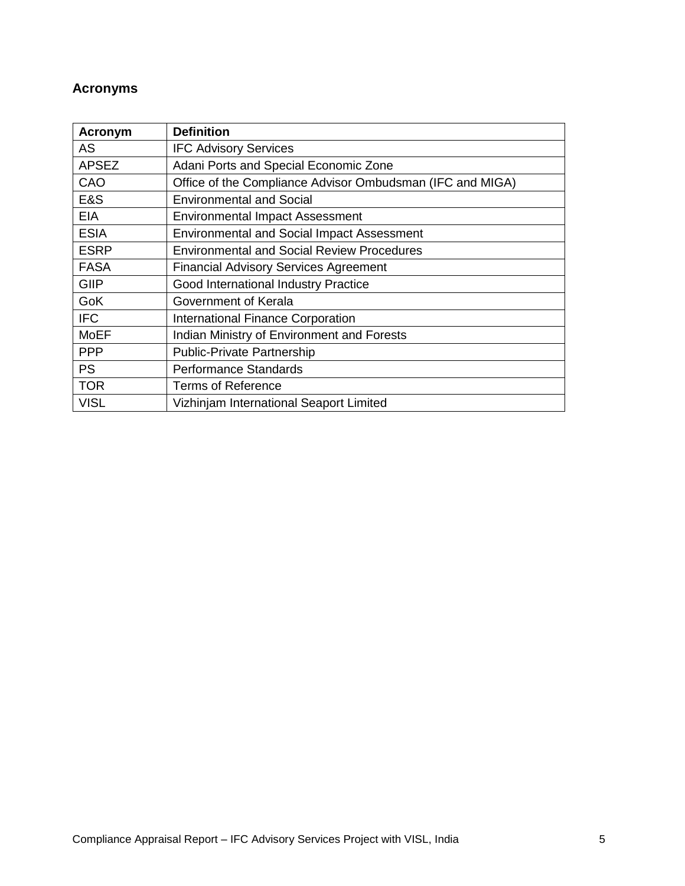# <span id="page-4-0"></span>**Acronyms**

| <b>Acronym</b> | <b>Definition</b>                                         |
|----------------|-----------------------------------------------------------|
| AS             | <b>IFC Advisory Services</b>                              |
| <b>APSEZ</b>   | Adani Ports and Special Economic Zone                     |
| CAO            | Office of the Compliance Advisor Ombudsman (IFC and MIGA) |
| E&S            | <b>Environmental and Social</b>                           |
| EIA            | <b>Environmental Impact Assessment</b>                    |
| <b>ESIA</b>    | <b>Environmental and Social Impact Assessment</b>         |
| <b>ESRP</b>    | <b>Environmental and Social Review Procedures</b>         |
| <b>FASA</b>    | <b>Financial Advisory Services Agreement</b>              |
| GIIP           | Good International Industry Practice                      |
| GoK            | Government of Kerala                                      |
| <b>IFC</b>     | <b>International Finance Corporation</b>                  |
| <b>MoEF</b>    | Indian Ministry of Environment and Forests                |
| <b>PPP</b>     | <b>Public-Private Partnership</b>                         |
| <b>PS</b>      | <b>Performance Standards</b>                              |
| <b>TOR</b>     | <b>Terms of Reference</b>                                 |
| <b>VISL</b>    | Vizhinjam International Seaport Limited                   |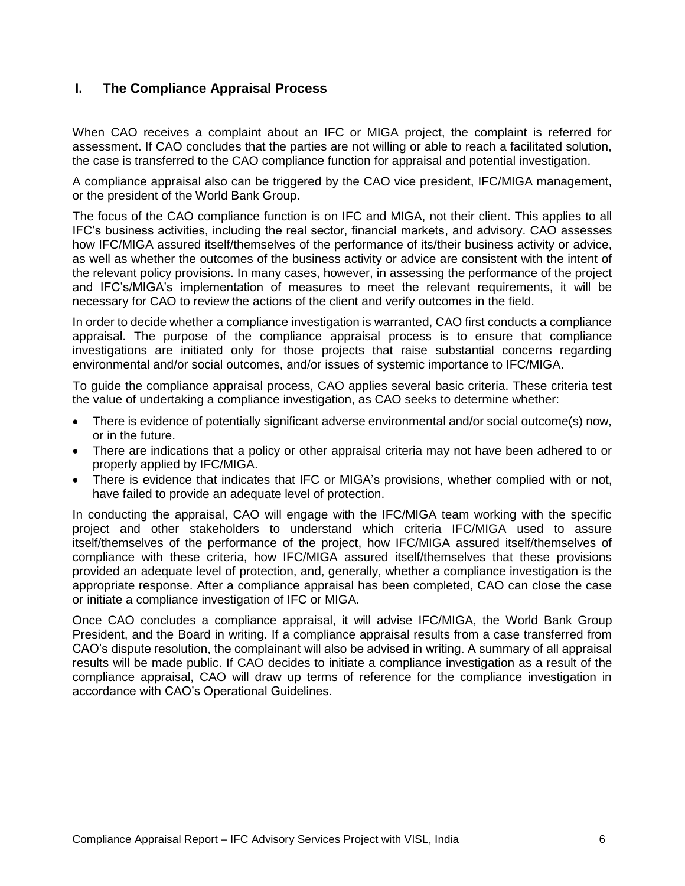# <span id="page-5-0"></span>**I. The Compliance Appraisal Process**

When CAO receives a complaint about an IFC or MIGA project, the complaint is referred for assessment. If CAO concludes that the parties are not willing or able to reach a facilitated solution, the case is transferred to the CAO compliance function for appraisal and potential investigation.

A compliance appraisal also can be triggered by the CAO vice president, IFC/MIGA management, or the president of the World Bank Group.

The focus of the CAO compliance function is on IFC and MIGA, not their client. This applies to all IFC's business activities, including the real sector, financial markets, and advisory. CAO assesses how IFC/MIGA assured itself/themselves of the performance of its/their business activity or advice, as well as whether the outcomes of the business activity or advice are consistent with the intent of the relevant policy provisions. In many cases, however, in assessing the performance of the project and IFC's/MIGA's implementation of measures to meet the relevant requirements, it will be necessary for CAO to review the actions of the client and verify outcomes in the field.

In order to decide whether a compliance investigation is warranted, CAO first conducts a compliance appraisal. The purpose of the compliance appraisal process is to ensure that compliance investigations are initiated only for those projects that raise substantial concerns regarding environmental and/or social outcomes, and/or issues of systemic importance to IFC/MIGA.

To guide the compliance appraisal process, CAO applies several basic criteria. These criteria test the value of undertaking a compliance investigation, as CAO seeks to determine whether:

- There is evidence of potentially significant adverse environmental and/or social outcome(s) now, or in the future.
- There are indications that a policy or other appraisal criteria may not have been adhered to or properly applied by IFC/MIGA.
- There is evidence that indicates that IFC or MIGA's provisions, whether complied with or not, have failed to provide an adequate level of protection.

In conducting the appraisal, CAO will engage with the IFC/MIGA team working with the specific project and other stakeholders to understand which criteria IFC/MIGA used to assure itself/themselves of the performance of the project, how IFC/MIGA assured itself/themselves of compliance with these criteria, how IFC/MIGA assured itself/themselves that these provisions provided an adequate level of protection, and, generally, whether a compliance investigation is the appropriate response. After a compliance appraisal has been completed, CAO can close the case or initiate a compliance investigation of IFC or MIGA.

Once CAO concludes a compliance appraisal, it will advise IFC/MIGA, the World Bank Group President, and the Board in writing. If a compliance appraisal results from a case transferred from CAO's dispute resolution, the complainant will also be advised in writing. A summary of all appraisal results will be made public. If CAO decides to initiate a compliance investigation as a result of the compliance appraisal, CAO will draw up terms of reference for the compliance investigation in accordance with CAO's Operational Guidelines.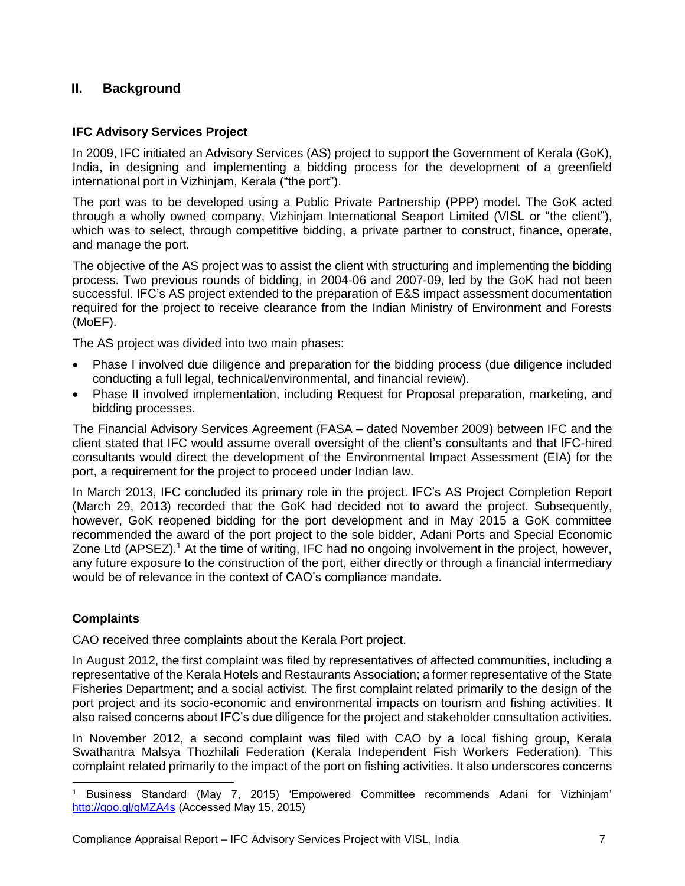# <span id="page-6-0"></span>**II. Background**

#### <span id="page-6-1"></span>**IFC Advisory Services Project**

In 2009, IFC initiated an Advisory Services (AS) project to support the Government of Kerala (GoK), India, in designing and implementing a bidding process for the development of a greenfield international port in Vizhinjam, Kerala ("the port").

The port was to be developed using a Public Private Partnership (PPP) model. The GoK acted through a wholly owned company, Vizhinjam International Seaport Limited (VISL or "the client"), which was to select, through competitive bidding, a private partner to construct, finance, operate, and manage the port.

The objective of the AS project was to assist the client with structuring and implementing the bidding process. Two previous rounds of bidding, in 2004-06 and 2007-09, led by the GoK had not been successful. IFC's AS project extended to the preparation of E&S impact assessment documentation required for the project to receive clearance from the Indian Ministry of Environment and Forests (MoEF).

The AS project was divided into two main phases:

- Phase I involved due diligence and preparation for the bidding process (due diligence included conducting a full legal, technical/environmental, and financial review).
- Phase II involved implementation, including Request for Proposal preparation, marketing, and bidding processes.

The Financial Advisory Services Agreement (FASA – dated November 2009) between IFC and the client stated that IFC would assume overall oversight of the client's consultants and that IFC-hired consultants would direct the development of the Environmental Impact Assessment (EIA) for the port, a requirement for the project to proceed under Indian law.

In March 2013, IFC concluded its primary role in the project. IFC's AS Project Completion Report (March 29, 2013) recorded that the GoK had decided not to award the project. Subsequently, however, GoK reopened bidding for the port development and in May 2015 a GoK committee recommended the award of the port project to the sole bidder, Adani Ports and Special Economic Zone Ltd (APSEZ).<sup>1</sup> At the time of writing, IFC had no ongoing involvement in the project, however, any future exposure to the construction of the port, either directly or through a financial intermediary would be of relevance in the context of CAO's compliance mandate.

# <span id="page-6-2"></span>**Complaints**

CAO received three complaints about the Kerala Port project.

In August 2012, the first complaint was filed by representatives of affected communities, including a representative of the Kerala Hotels and Restaurants Association; a former representative of the State Fisheries Department; and a social activist. The first complaint related primarily to the design of the port project and its socio-economic and environmental impacts on tourism and fishing activities. It also raised concerns about IFC's due diligence for the project and stakeholder consultation activities.

In November 2012, a second complaint was filed with CAO by a local fishing group, Kerala Swathantra Malsya Thozhilali Federation (Kerala Independent Fish Workers Federation). This complaint related primarily to the impact of the port on fishing activities. It also underscores concerns

 $\overline{a}$ <sup>1</sup> Business Standard (May 7, 2015) 'Empowered Committee recommends Adani for Vizhinjam' <http://goo.gl/gMZA4s> (Accessed May 15, 2015)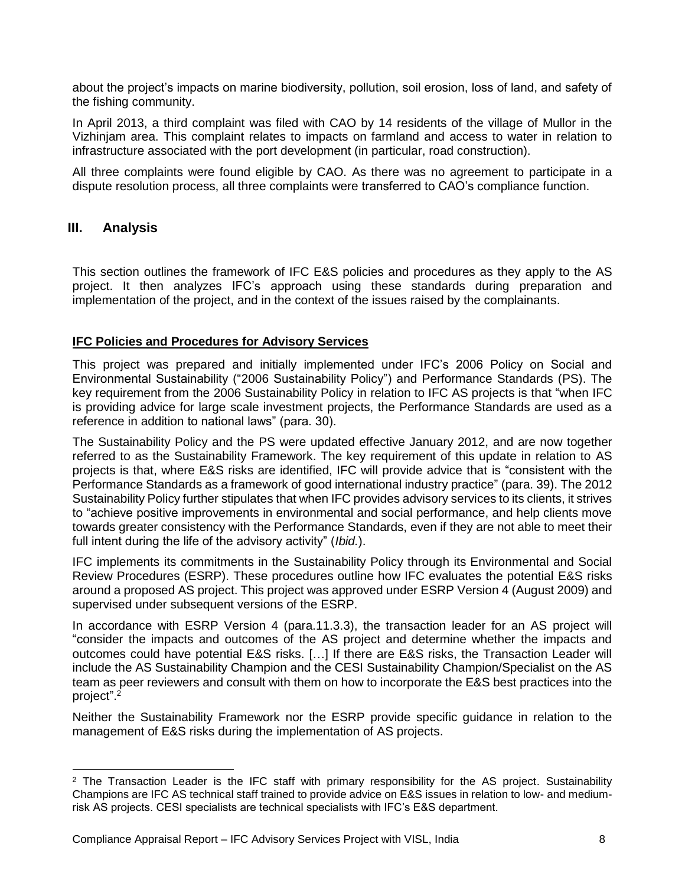about the project's impacts on marine biodiversity, pollution, soil erosion, loss of land, and safety of the fishing community.

In April 2013, a third complaint was filed with CAO by 14 residents of the village of Mullor in the Vizhinjam area. This complaint relates to impacts on farmland and access to water in relation to infrastructure associated with the port development (in particular, road construction).

All three complaints were found eligible by CAO. As there was no agreement to participate in a dispute resolution process, all three complaints were transferred to CAO's compliance function.

#### <span id="page-7-0"></span>**III. Analysis**

This section outlines the framework of IFC E&S policies and procedures as they apply to the AS project. It then analyzes IFC's approach using these standards during preparation and implementation of the project, and in the context of the issues raised by the complainants.

#### <span id="page-7-1"></span>**IFC Policies and Procedures for Advisory Services**

This project was prepared and initially implemented under IFC's 2006 Policy on Social and Environmental Sustainability ("2006 Sustainability Policy") and Performance Standards (PS). The key requirement from the 2006 Sustainability Policy in relation to IFC AS projects is that "when IFC is providing advice for large scale investment projects, the Performance Standards are used as a reference in addition to national laws" (para. 30).

The Sustainability Policy and the PS were updated effective January 2012, and are now together referred to as the Sustainability Framework. The key requirement of this update in relation to AS projects is that, where E&S risks are identified, IFC will provide advice that is "consistent with the Performance Standards as a framework of good international industry practice" (para. 39). The 2012 Sustainability Policy further stipulates that when IFC provides advisory services to its clients, it strives to "achieve positive improvements in environmental and social performance, and help clients move towards greater consistency with the Performance Standards, even if they are not able to meet their full intent during the life of the advisory activity" (*Ibid.*).

IFC implements its commitments in the Sustainability Policy through its Environmental and Social Review Procedures (ESRP). These procedures outline how IFC evaluates the potential E&S risks around a proposed AS project. This project was approved under ESRP Version 4 (August 2009) and supervised under subsequent versions of the ESRP.

In accordance with ESRP Version 4 (para.11.3.3), the transaction leader for an AS project will "consider the impacts and outcomes of the AS project and determine whether the impacts and outcomes could have potential E&S risks. […] If there are E&S risks, the Transaction Leader will include the AS Sustainability Champion and the CESI Sustainability Champion/Specialist on the AS team as peer reviewers and consult with them on how to incorporate the E&S best practices into the project". 2

Neither the Sustainability Framework nor the ESRP provide specific guidance in relation to the management of E&S risks during the implementation of AS projects.

 <sup>2</sup> The Transaction Leader is the IFC staff with primary responsibility for the AS project. Sustainability Champions are IFC AS technical staff trained to provide advice on E&S issues in relation to low- and mediumrisk AS projects. CESI specialists are technical specialists with IFC's E&S department.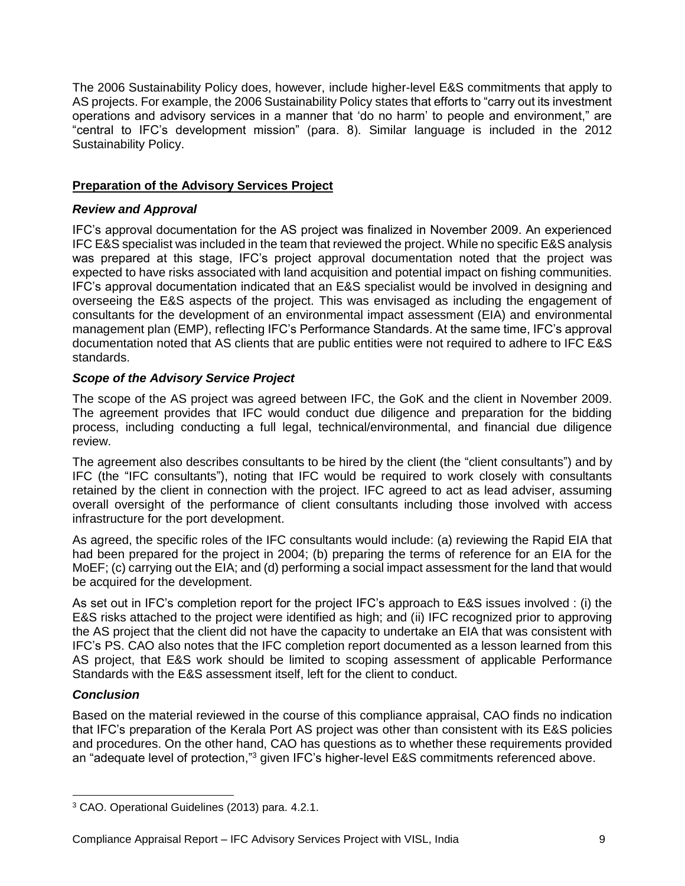The 2006 Sustainability Policy does, however, include higher-level E&S commitments that apply to AS projects. For example, the 2006 Sustainability Policy states that efforts to "carry out its investment operations and advisory services in a manner that 'do no harm' to people and environment," are "central to IFC's development mission" (para. 8). Similar language is included in the 2012 Sustainability Policy.

# <span id="page-8-0"></span>**Preparation of the Advisory Services Project**

#### <span id="page-8-1"></span>*Review and Approval*

IFC's approval documentation for the AS project was finalized in November 2009. An experienced IFC E&S specialist was included in the team that reviewed the project. While no specific E&S analysis was prepared at this stage, IFC's project approval documentation noted that the project was expected to have risks associated with land acquisition and potential impact on fishing communities. IFC's approval documentation indicated that an E&S specialist would be involved in designing and overseeing the E&S aspects of the project. This was envisaged as including the engagement of consultants for the development of an environmental impact assessment (EIA) and environmental management plan (EMP), reflecting IFC's Performance Standards. At the same time, IFC's approval documentation noted that AS clients that are public entities were not required to adhere to IFC E&S standards.

#### <span id="page-8-2"></span>*Scope of the Advisory Service Project*

The scope of the AS project was agreed between IFC, the GoK and the client in November 2009. The agreement provides that IFC would conduct due diligence and preparation for the bidding process, including conducting a full legal, technical/environmental, and financial due diligence review.

The agreement also describes consultants to be hired by the client (the "client consultants") and by IFC (the "IFC consultants"), noting that IFC would be required to work closely with consultants retained by the client in connection with the project. IFC agreed to act as lead adviser, assuming overall oversight of the performance of client consultants including those involved with access infrastructure for the port development.

As agreed, the specific roles of the IFC consultants would include: (a) reviewing the Rapid EIA that had been prepared for the project in 2004; (b) preparing the terms of reference for an EIA for the MoEF; (c) carrying out the EIA; and (d) performing a social impact assessment for the land that would be acquired for the development.

As set out in IFC's completion report for the project IFC's approach to E&S issues involved : (i) the E&S risks attached to the project were identified as high; and (ii) IFC recognized prior to approving the AS project that the client did not have the capacity to undertake an EIA that was consistent with IFC's PS. CAO also notes that the IFC completion report documented as a lesson learned from this AS project, that E&S work should be limited to scoping assessment of applicable Performance Standards with the E&S assessment itself, left for the client to conduct.

# <span id="page-8-3"></span>*Conclusion*

Based on the material reviewed in the course of this compliance appraisal, CAO finds no indication that IFC's preparation of the Kerala Port AS project was other than consistent with its E&S policies and procedures. On the other hand, CAO has questions as to whether these requirements provided an "adequate level of protection,"<sup>3</sup> given IFC's higher-level E&S commitments referenced above.

<sup>3</sup> CAO. Operational Guidelines (2013) para. 4.2.1.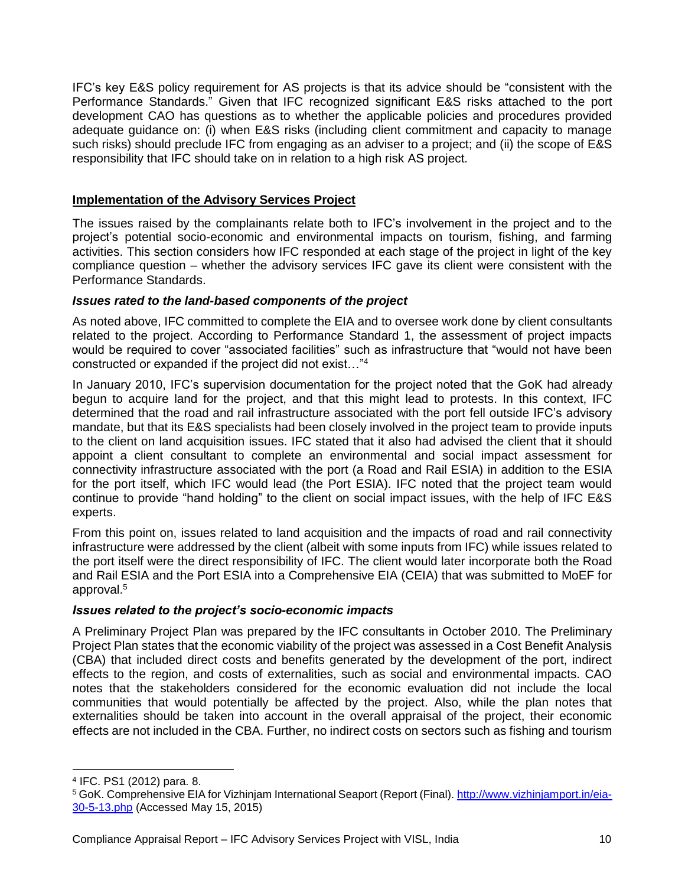IFC's key E&S policy requirement for AS projects is that its advice should be "consistent with the Performance Standards." Given that IFC recognized significant E&S risks attached to the port development CAO has questions as to whether the applicable policies and procedures provided adequate guidance on: (i) when E&S risks (including client commitment and capacity to manage such risks) should preclude IFC from engaging as an adviser to a project; and (ii) the scope of E&S responsibility that IFC should take on in relation to a high risk AS project.

#### <span id="page-9-0"></span>**Implementation of the Advisory Services Project**

The issues raised by the complainants relate both to IFC's involvement in the project and to the project's potential socio-economic and environmental impacts on tourism, fishing, and farming activities. This section considers how IFC responded at each stage of the project in light of the key compliance question – whether the advisory services IFC gave its client were consistent with the Performance Standards.

#### <span id="page-9-1"></span>*Issues rated to the land-based components of the project*

As noted above, IFC committed to complete the EIA and to oversee work done by client consultants related to the project. According to Performance Standard 1, the assessment of project impacts would be required to cover "associated facilities" such as infrastructure that "would not have been constructed or expanded if the project did not exist…"<sup>4</sup>

In January 2010, IFC's supervision documentation for the project noted that the GoK had already begun to acquire land for the project, and that this might lead to protests. In this context, IFC determined that the road and rail infrastructure associated with the port fell outside IFC's advisory mandate, but that its E&S specialists had been closely involved in the project team to provide inputs to the client on land acquisition issues. IFC stated that it also had advised the client that it should appoint a client consultant to complete an environmental and social impact assessment for connectivity infrastructure associated with the port (a Road and Rail ESIA) in addition to the ESIA for the port itself, which IFC would lead (the Port ESIA). IFC noted that the project team would continue to provide "hand holding" to the client on social impact issues, with the help of IFC E&S experts.

From this point on, issues related to land acquisition and the impacts of road and rail connectivity infrastructure were addressed by the client (albeit with some inputs from IFC) while issues related to the port itself were the direct responsibility of IFC. The client would later incorporate both the Road and Rail ESIA and the Port ESIA into a Comprehensive EIA (CEIA) that was submitted to MoEF for approval. 5

#### *Issues related to the project's socio-economic impacts*

A Preliminary Project Plan was prepared by the IFC consultants in October 2010. The Preliminary Project Plan states that the economic viability of the project was assessed in a Cost Benefit Analysis (CBA) that included direct costs and benefits generated by the development of the port, indirect effects to the region, and costs of externalities, such as social and environmental impacts. CAO notes that the stakeholders considered for the economic evaluation did not include the local communities that would potentially be affected by the project. Also, while the plan notes that externalities should be taken into account in the overall appraisal of the project, their economic effects are not included in the CBA. Further, no indirect costs on sectors such as fishing and tourism

<sup>4</sup> IFC. PS1 (2012) para. 8.

<sup>5</sup> GoK. Comprehensive EIA for Vizhinjam International Seaport (Report (Final). [http://www.vizhinjamport.in/eia-](http://www.vizhinjamport.in/eia-30-5-13.php)[30-5-13.php](http://www.vizhinjamport.in/eia-30-5-13.php) (Accessed May 15, 2015)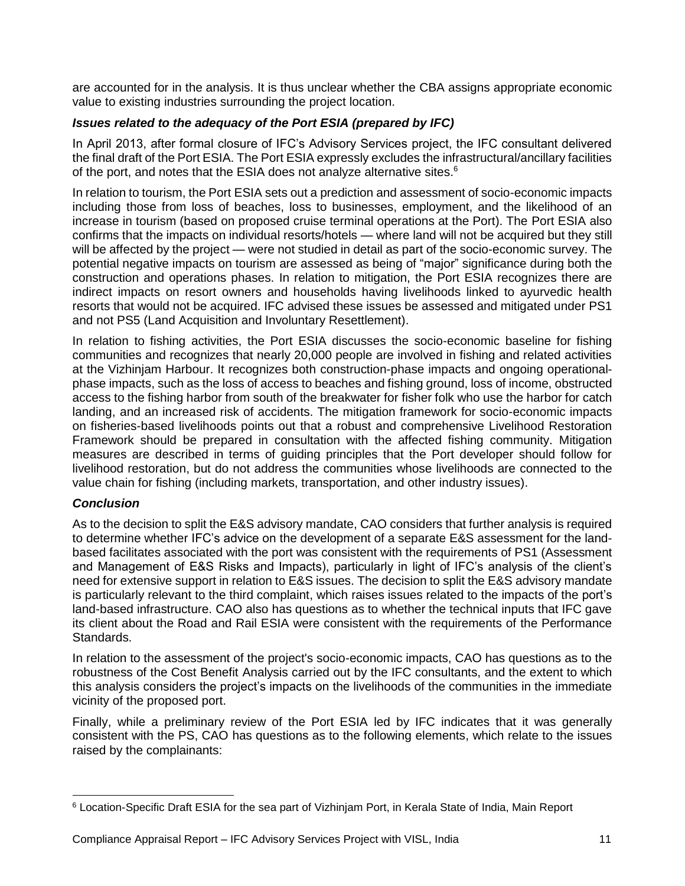are accounted for in the analysis. It is thus unclear whether the CBA assigns appropriate economic value to existing industries surrounding the project location.

#### <span id="page-10-0"></span>*Issues related to the adequacy of the Port ESIA (prepared by IFC)*

In April 2013, after formal closure of IFC's Advisory Services project, the IFC consultant delivered the final draft of the Port ESIA. The Port ESIA expressly excludes the infrastructural/ancillary facilities of the port, and notes that the ESIA does not analyze alternative sites.<sup>6</sup>

In relation to tourism, the Port ESIA sets out a prediction and assessment of socio-economic impacts including those from loss of beaches, loss to businesses, employment, and the likelihood of an increase in tourism (based on proposed cruise terminal operations at the Port). The Port ESIA also confirms that the impacts on individual resorts/hotels — where land will not be acquired but they still will be affected by the project — were not studied in detail as part of the socio-economic survey. The potential negative impacts on tourism are assessed as being of "major" significance during both the construction and operations phases. In relation to mitigation, the Port ESIA recognizes there are indirect impacts on resort owners and households having livelihoods linked to ayurvedic health resorts that would not be acquired. IFC advised these issues be assessed and mitigated under PS1 and not PS5 (Land Acquisition and Involuntary Resettlement).

In relation to fishing activities, the Port ESIA discusses the socio-economic baseline for fishing communities and recognizes that nearly 20,000 people are involved in fishing and related activities at the Vizhinjam Harbour. It recognizes both construction-phase impacts and ongoing operationalphase impacts, such as the loss of access to beaches and fishing ground, loss of income, obstructed access to the fishing harbor from south of the breakwater for fisher folk who use the harbor for catch landing, and an increased risk of accidents. The mitigation framework for socio-economic impacts on fisheries-based livelihoods points out that a robust and comprehensive Livelihood Restoration Framework should be prepared in consultation with the affected fishing community. Mitigation measures are described in terms of guiding principles that the Port developer should follow for livelihood restoration, but do not address the communities whose livelihoods are connected to the value chain for fishing (including markets, transportation, and other industry issues).

#### <span id="page-10-1"></span>*Conclusion*

As to the decision to split the E&S advisory mandate, CAO considers that further analysis is required to determine whether IFC's advice on the development of a separate E&S assessment for the landbased facilitates associated with the port was consistent with the requirements of PS1 (Assessment and Management of E&S Risks and Impacts), particularly in light of IFC's analysis of the client's need for extensive support in relation to E&S issues. The decision to split the E&S advisory mandate is particularly relevant to the third complaint, which raises issues related to the impacts of the port's land-based infrastructure. CAO also has questions as to whether the technical inputs that IFC gave its client about the Road and Rail ESIA were consistent with the requirements of the Performance Standards.

In relation to the assessment of the project's socio-economic impacts, CAO has questions as to the robustness of the Cost Benefit Analysis carried out by the IFC consultants, and the extent to which this analysis considers the project's impacts on the livelihoods of the communities in the immediate vicinity of the proposed port.

Finally, while a preliminary review of the Port ESIA led by IFC indicates that it was generally consistent with the PS, CAO has questions as to the following elements, which relate to the issues raised by the complainants:

 <sup>6</sup> Location-Specific Draft ESIA for the sea part of Vizhinjam Port, in Kerala State of India, Main Report